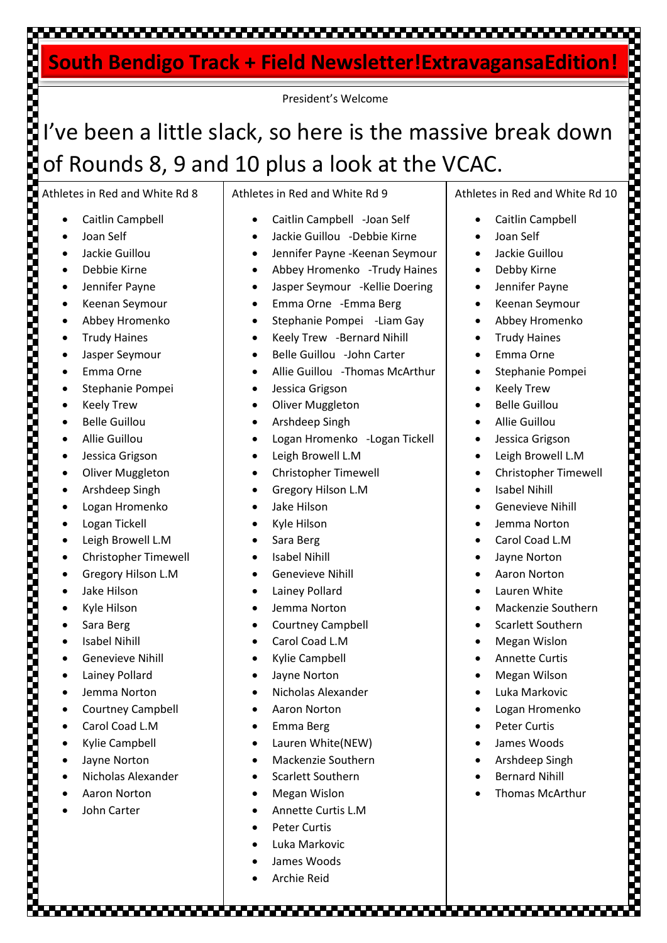### 

### **South Bendigo Track + Field Newsletter!ExtravagansaEdition!**

President's Welcome

# I've been a little slack, so here is the massive break down of Rounds 8, 9 and 10 plus a look at the VCAC.

Athletes in Red and White Rd 8

- Caitlin Campbell
- Joan Self
- Jackie Guillou
- Debbie Kirne
- Jennifer Payne
- Keenan Seymour
- Abbey Hromenko
- Trudy Haines
- Jasper Seymour
- Emma Orne
- Stephanie Pompei
- Keely Trew
- Belle Guillou
- Allie Guillou
- Jessica Grigson
- Oliver Muggleton
- Arshdeep Singh
- Logan Hromenko
- Logan Tickell

- Leigh Browell L.M
- Christopher Timewell
- Gregory Hilson L.M
- Jake Hilson
- Kyle Hilson
- Sara Berg
- **Isabel Nihill**
- Genevieve Nihill
- Lainey Pollard
- Jemma Norton
- Courtney Campbell
- Carol Coad L.M
- Kylie Campbell
- Jayne Norton
- Nicholas Alexander
- Aaron Norton
- John Carter

Athletes in Red and White Rd 9

- Caitlin Campbell -Joan Self
- Jackie Guillou -Debbie Kirne
- Jennifer Payne -Keenan Seymour
- Abbey Hromenko -Trudy Haines
- Jasper Seymour -Kellie Doering
- Emma Orne -Emma Berg
- Stephanie Pompei -Liam Gay
- Keely Trew -Bernard Nihill
- Belle Guillou -John Carter
- Allie Guillou -Thomas McArthur
- Jessica Grigson
- Oliver Muggleton
- Arshdeep Singh
- Logan Hromenko -Logan Tickell
- Leigh Browell L.M
- Christopher Timewell
- Gregory Hilson L.M
- Jake Hilson
- Kyle Hilson
- Sara Berg
- Isabel Nihill
- Genevieve Nihill
- **Lainey Pollard**
- Jemma Norton
- Courtney Campbell
- Carol Coad L.M
- Kylie Campbell
- Jayne Norton
- Nicholas Alexander
- Aaron Norton
- Emma Berg
- Lauren White(NEW)
- Mackenzie Southern
- Scarlett Southern
- Megan Wislon
- Annette Curtis L.M

- Peter Curtis
- Luka Markovic
- James Woods
- Archie Reid

Athletes in Red and White Rd 10

- Caitlin Campbell
- Joan Self
- Jackie Guillou
- Debby Kirne
- Jennifer Payne
- Keenan Seymour
- Abbey Hromenko
- Trudy Haines
- Emma Orne
- Stephanie Pompei
- Keely Trew
- Belle Guillou
- Allie Guillou
- Jessica Grigson
- Leigh Browell L.M

• Genevieve Nihill • Jemma Norton Carol Coad L.M

• Jayne Norton • Aaron Norton Lauren White • Mackenzie Southern • Scarlett Southern • Megan Wislon • Annette Curtis • Megan Wilson • Luka Markovic • Logan Hromenko • Peter Curtis • James Woods • Arshdeep Singh **Bernard Nihill** • Thomas McArthur

• Christopher Timewell

• Isabel Nihill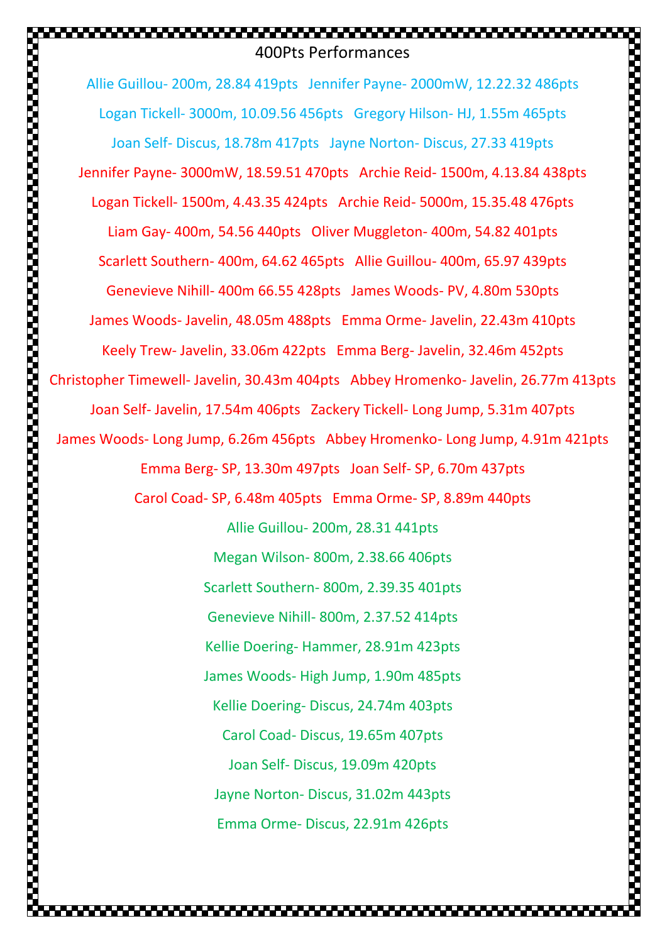## 400Pts Performances

.............................

Allie Guillou- 200m, 28.84 419pts Jennifer Payne- 2000mW, 12.22.32 486pts Logan Tickell- 3000m, 10.09.56 456pts Gregory Hilson- HJ, 1.55m 465pts Joan Self- Discus, 18.78m 417pts Jayne Norton- Discus, 27.33 419pts Jennifer Payne- 3000mW, 18.59.51 470pts Archie Reid- 1500m, 4.13.84 438pts Logan Tickell- 1500m, 4.43.35 424pts Archie Reid- 5000m, 15.35.48 476pts Liam Gay- 400m, 54.56 440pts Oliver Muggleton- 400m, 54.82 401pts Scarlett Southern- 400m, 64.62 465pts Allie Guillou- 400m, 65.97 439pts Genevieve Nihill- 400m 66.55 428pts James Woods- PV, 4.80m 530pts James Woods- Javelin, 48.05m 488pts Emma Orme- Javelin, 22.43m 410pts Keely Trew- Javelin, 33.06m 422pts Emma Berg- Javelin, 32.46m 452pts Christopher Timewell- Javelin, 30.43m 404pts Abbey Hromenko- Javelin, 26.77m 413pts Joan Self- Javelin, 17.54m 406pts Zackery Tickell- Long Jump, 5.31m 407pts James Woods- Long Jump, 6.26m 456pts Abbey Hromenko- Long Jump, 4.91m 421pts Emma Berg- SP, 13.30m 497pts Joan Self- SP, 6.70m 437pts Carol Coad- SP, 6.48m 405pts Emma Orme- SP, 8.89m 440pts Allie Guillou- 200m, 28.31 441pts Megan Wilson- 800m, 2.38.66 406pts Scarlett Southern- 800m, 2.39.35 401pts Genevieve Nihill- 800m, 2.37.52 414pts Kellie Doering- Hammer, 28.91m 423pts James Woods- High Jump, 1.90m 485pts Kellie Doering- Discus, 24.74m 403pts Carol Coad- Discus, 19.65m 407pts Joan Self- Discus, 19.09m 420pts Jayne Norton- Discus, 31.02m 443pts Emma Orme- Discus, 22.91m 426pts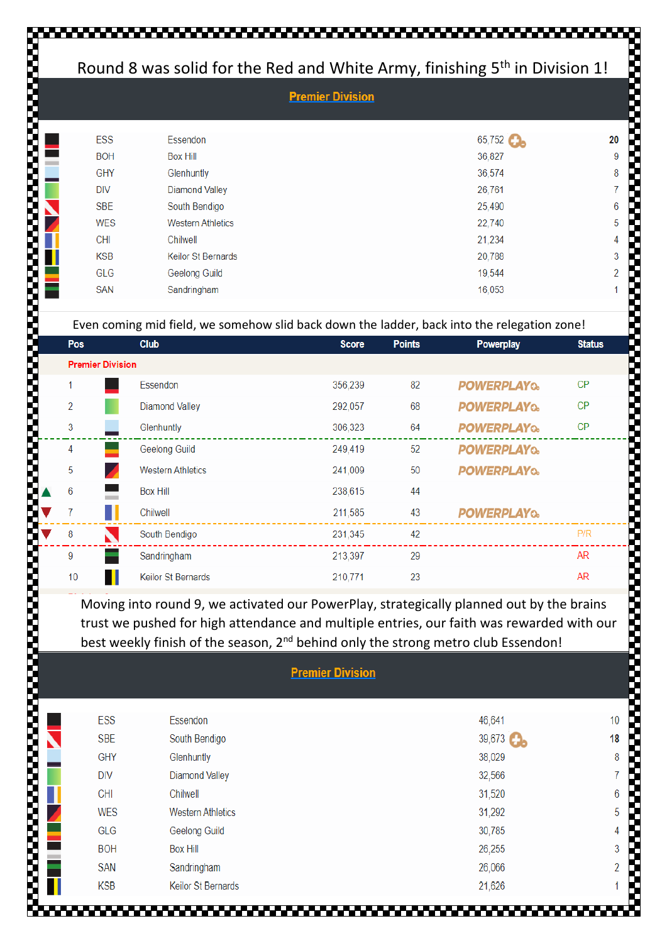#### Round 8 was solid for the Red and White Army, finishing 5th in Division 1!

| ESS        | Essendon                  | 65,752 | 20             |  |  |
|------------|---------------------------|--------|----------------|--|--|
| <b>BOH</b> | <b>Box Hill</b>           | 36,827 | 9              |  |  |
| <b>GHY</b> | Glenhuntly                | 36,574 | 8              |  |  |
| <b>DIV</b> | <b>Diamond Valley</b>     | 26,761 | 7              |  |  |
| <b>SBE</b> | South Bendigo             | 25,490 | 6              |  |  |
| <b>WES</b> | <b>Western Athletics</b>  | 22,740 | 5              |  |  |
| <b>CHI</b> | Chilwell                  | 21,234 | 4              |  |  |
| <b>KSB</b> | <b>Keilor St Bernards</b> | 20,788 | 3              |  |  |
| GLG        | Geelong Guild             | 19,544 | $\overline{2}$ |  |  |
| <b>SAN</b> | Sandringham               | 16,053 |                |  |  |
|            |                           |        |                |  |  |

**Proprietary Communication Communication** 

*<u>PARADIS DE LA PROPOSICIÓN DE LA PROPOSICIÓN DE LA PROPOSICIÓN DE LA PROPOSICIÓN DE LA PROPOSICIÓN DE LA PRO</del>PO*</u>

#### Even coming mid field, we somehow slid back down the ladder, back into the relegation zone!

| <b>Pos</b>              | <b>Club</b>               | <b>Score</b> | <b>Points</b> | Powerplay          | <b>Status</b> |
|-------------------------|---------------------------|--------------|---------------|--------------------|---------------|
| <b>Premier Division</b> |                           |              |               |                    |               |
| 1                       | Essendon                  | 356,239      | 82            | <b>POWERPLAYQ.</b> | <b>CP</b>     |
| 2                       | <b>Diamond Valley</b>     | 292,057      | 68            | <b>POWERPLAYQ.</b> | <b>CP</b>     |
| 3                       | Glenhuntly                | 306,323      | 64            | <b>POWERPLAYQ.</b> | <b>CP</b>     |
| 4                       | <b>Geelong Guild</b>      | 249.419      | 52            | <b>POWERPLAYQ.</b> |               |
| 5                       | <b>Western Athletics</b>  | 241,009      | 50            | <b>POWERPLAYQ.</b> |               |
| 6                       | <b>Box Hill</b>           | 238,615      | 44            |                    |               |
| 7                       | Chilwell                  | 211,585      | 43            | <b>POWERPLAYQ.</b> |               |
| 8<br>N                  | South Bendigo             | 231,345      | 42            |                    | P/R           |
| 9                       | Sandringham               | 213,397      | 29            |                    | <b>AR</b>     |
| 10                      | <b>Keilor St Bernards</b> | 210,771      | 23            |                    | <b>AR</b>     |

Moving into round 9, we activated our PowerPlay, strategically planned out by the brains trust we pushed for high attendance and multiple entries, our faith was rewarded with our best weekly finish of the season, 2<sup>nd</sup> behind only the strong metro club Essendon!

| <u>FIGHTEL PIVISIUIL</u> |                          |        |                |  |  |
|--------------------------|--------------------------|--------|----------------|--|--|
|                          |                          |        |                |  |  |
| <b>ESS</b>               | Essendon                 | 46,641 | 10             |  |  |
| <b>SBE</b>               | South Bendigo            | 39,673 | 18             |  |  |
| <b>GHY</b>               | Glenhuntly               | 38,029 | 8              |  |  |
| <b>DIV</b>               | <b>Diamond Valley</b>    | 32,566 | 7              |  |  |
| <b>CHI</b>               | Chilwell                 | 31,520 | 6              |  |  |
| <b>WES</b>               | <b>Western Athletics</b> | 31,292 | 5              |  |  |
| GLG                      | Geelong Guild            | 30,785 | 4              |  |  |
| <b>BOH</b>               | <b>Box Hill</b>          | 26,255 | 3              |  |  |
| <b>SAN</b>               | Sandringham              | 26,066 | $\overline{2}$ |  |  |
| <b>KSB</b>               | Keilor St Bernards       | 21,626 | 1              |  |  |
|                          |                          |        |                |  |  |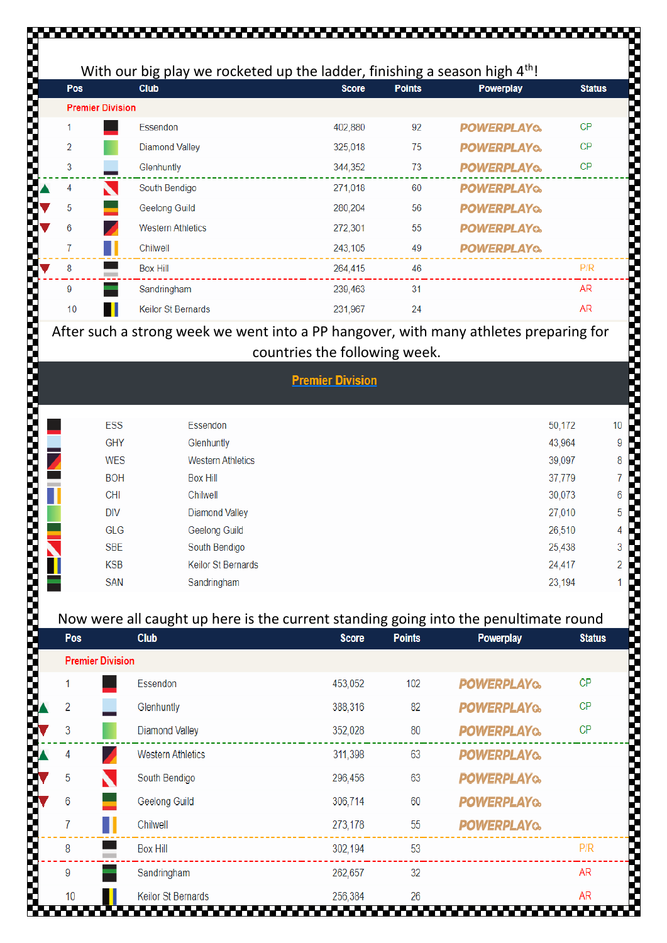| Pos |                         | With our big play we rocketed up the ladder, finishing a season high $4th!$<br><b>Club</b>          | <b>Score</b>                  | <b>Points</b> | Powerplay          | <b>Status</b> |
|-----|-------------------------|-----------------------------------------------------------------------------------------------------|-------------------------------|---------------|--------------------|---------------|
|     | <b>Premier Division</b> |                                                                                                     |                               |               |                    |               |
| 1   |                         | Essendon                                                                                            | 402,880                       | 92            | <b>POWERPLAYQ.</b> | CP            |
| 2   |                         | <b>Diamond Valley</b>                                                                               | 325,018                       | 75            | <b>POWERPLAYQ.</b> | CP            |
| 3   |                         | Glenhuntly                                                                                          | 344,352                       | 73            | <b>POWERPLAYQ</b>  | <b>CP</b>     |
| 4   |                         | South Bendigo                                                                                       | 271,018                       | 60            | <b>POWERPLAYO.</b> |               |
| 5   |                         | <b>Geelong Guild</b>                                                                                | 280,204                       | 56            | <b>POWERPLAYQ.</b> |               |
| 6   |                         | <b>Western Athletics</b>                                                                            | 272,301                       | 55            | <b>POWERPLAYO.</b> |               |
| 7   |                         | Chilwell                                                                                            | 243,105                       | 49            | <b>POWERPLAYO.</b> |               |
| 8   |                         | <b>Box Hill</b>                                                                                     | 264,415                       | 46            |                    | P/R           |
| 9   |                         | Sandringham                                                                                         | 239,463                       | 31            |                    | <b>AR</b>     |
| 10  |                         | Keilor St Bernards                                                                                  | 231,967                       | 24            |                    | <b>AR</b>     |
|     |                         | After such a strong week we went into a PP hangover, with many athletes preparing for               |                               |               |                    |               |
|     |                         |                                                                                                     | countries the following week. |               |                    |               |
|     |                         |                                                                                                     | <b>Premier Division</b>       |               |                    |               |
|     |                         |                                                                                                     |                               |               |                    |               |
|     | <b>ESS</b>              | Essendon                                                                                            |                               |               |                    | 50,172        |
|     | GHY                     | Glenhuntly                                                                                          |                               |               |                    | 43,964        |
|     | <b>WES</b>              | <b>Western Athletics</b>                                                                            |                               |               |                    | 39,097        |
|     | <b>BOH</b>              | <b>Box Hill</b>                                                                                     |                               |               |                    | 37,779        |
|     | <b>CHI</b>              | Chilwell                                                                                            |                               |               |                    | 30,073        |
|     | <b>DIV</b>              | <b>Diamond Valley</b>                                                                               |                               |               |                    | 27,010        |
|     | GLG                     | <b>Geelong Guild</b>                                                                                |                               |               |                    | 26,510        |
|     | <b>SBE</b>              | South Bendigo                                                                                       |                               |               |                    | 25,438        |
|     | <b>KSB</b>              | Keilor St Bernards                                                                                  |                               |               |                    | 24,417        |
|     | <b>SAN</b>              | Sandringham                                                                                         |                               |               |                    | 23,194        |
|     |                         |                                                                                                     |                               |               |                    |               |
| Pos |                         | Now were all caught up here is the current standing going into the penultimate round<br><b>Club</b> | <b>Score</b>                  | <b>Points</b> | Powerplay          | <b>Status</b> |
|     | <b>Premier Division</b> |                                                                                                     |                               |               |                    |               |
|     |                         | Essendon                                                                                            | 453,052                       | 102           | <b>POWERPLAYQ.</b> | <b>CP</b>     |
| 2   |                         | Glenhuntly                                                                                          | 388,316                       | 82            | <b>POWERPLAYQ.</b> | СP            |
|     |                         |                                                                                                     |                               |               |                    |               |
| 3   |                         | <b>Diamond Valley</b>                                                                               | 352,028                       | 80            | <b>POWERPLAYQ</b>  | СP            |
| 4   |                         | <b>Western Athletics</b>                                                                            | 311,398                       | 63            | <b>POWERPLAYQ.</b> |               |
| 5   |                         | South Bendigo                                                                                       | 296,456                       | 63            | <b>POWERPLAYO.</b> |               |
|     |                         | Geelong Guild                                                                                       | 306,714                       | 60            | <b>POWERPLAYQ.</b> |               |
| 6   |                         | Chilwell                                                                                            | 273,178                       | 55            | <b>POWERPLAYQ.</b> |               |
| 7   |                         |                                                                                                     |                               |               |                    |               |
| 8   |                         | <b>Box Hill</b>                                                                                     | 302,194                       | 53            |                    | P/R           |
| 9   |                         | Sandringham                                                                                         | 262,657                       | 32            |                    | <b>AR</b>     |

| <b>Premier Division</b> |                          |        |  |  |  |
|-------------------------|--------------------------|--------|--|--|--|
|                         |                          |        |  |  |  |
| ESS                     | Essendon                 | 50,172 |  |  |  |
| <b>GHY</b>              | Glenhuntly               | 43,964 |  |  |  |
| <b>WES</b>              | <b>Western Athletics</b> | 39,097 |  |  |  |
| <b>BOH</b>              | <b>Box Hill</b>          | 37,779 |  |  |  |
| <b>CHI</b>              | Chilwell                 | 30,073 |  |  |  |
| <b>DIV</b>              | <b>Diamond Valley</b>    | 27,010 |  |  |  |
| GLG                     | Geelong Guild            | 26,510 |  |  |  |
| <b>SBE</b>              | South Bendigo            | 25,438 |  |  |  |
| <b>KSB</b>              | Keilor St Bernards       | 24,417 |  |  |  |
| <b>SAN</b>              | Sandringham              | 23,194 |  |  |  |
|                         |                          |        |  |  |  |

#### Now were all caught up here is the current standing going into the penultimate round

| Pos                     | <b>Club</b>              | <b>Score</b> | <b>Points</b> | Powerplay          | <b>Status</b> |
|-------------------------|--------------------------|--------------|---------------|--------------------|---------------|
| <b>Premier Division</b> |                          |              |               |                    |               |
|                         | Essendon                 | 453,052      | 102           | <b>POWERPLAYQ</b>  | CP            |
| $\overline{2}$          | Glenhuntly               | 388,316      | 82            | <b>POWERPLAYQ</b>  | CP            |
| 3                       | <b>Diamond Valley</b>    | 352,028      | 80            | <b>POWERPLAYQ</b>  | СP            |
| 4<br>Z                  | <b>Western Athletics</b> | 311,398      | 63            | <b>POWERPLAYQ</b>  |               |
| 5<br>↖                  | South Bendigo            | 296,456      | 63            | <b>POWERPLAYQ</b>  |               |
| 6                       | Geelong Guild            | 306,714      | 60            | <b>POWERPLAYQ.</b> |               |
| 7                       | Chilwell                 | 273,178      | 55            | <b>POWERPLAYQ</b>  |               |
| 8                       | <b>Box Hill</b>          | 302,194      | 53            |                    | P/R           |
| 9                       | Sandringham              | 262,657      | 32            |                    | <b>AR</b>     |
| 10                      | Keilor St Bernards<br>.  | 256,384      | 26            |                    | <b>AR</b>     |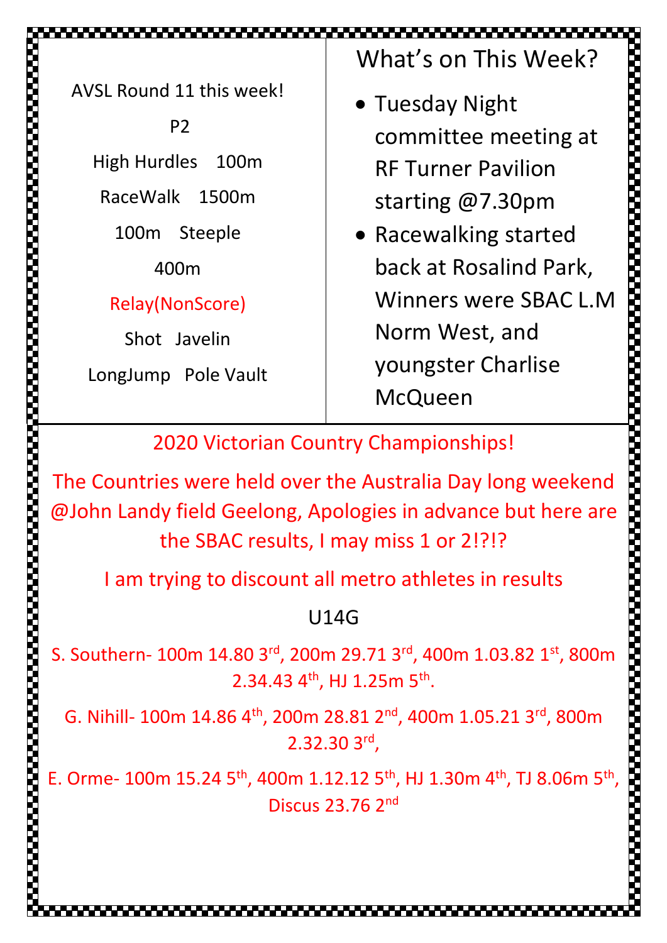AVSL Round 11 this week!

P2 High Hurdles 100m RaceWalk 1500m 100m Steeple 400m

Relay(NonScore)

Shot Javelin

LongJump Pole Vault

What's on This Week?

- Tuesday Night committee meeting at RF Turner Pavilion starting @7.30pm
- Racewalking started back at Rosalind Park, Winners were SBAC L.M Norm West, and youngster Charlise **McQueen**

2002/02/2012 12:00:00 02:00:00 02:00:00 02:00:00 02:00:00 02:00:00 02:00:00 02:00

2020 Victorian Country Championships!

▃▀▃▀▃▀▃▀▃▀▃▀▃▀▃▀▃▀▃▀▃▀▃▀▃▀▃

The Countries were held over the Australia Day long weekend @John Landy field Geelong, Apologies in advance but here are the SBAC results, I may miss 1 or 2!?!?

I am trying to discount all metro athletes in results

## U14G

S. Southern- 100m 14.80 3rd, 200m 29.71 3rd, 400m 1.03.82 1st, 800m  $2.34.43$  4<sup>th</sup>, HJ 1.25m 5<sup>th</sup>.

G. Nihill- 100m 14.86 4<sup>th</sup>, 200m 28.81 2<sup>nd</sup>, 400m 1.05.21 3<sup>rd</sup>, 800m 2.32.30 3rd ,

E. Orme- 100m 15.24 5<sup>th</sup>, 400m 1.12.12 5<sup>th</sup>, HJ 1.30m 4<sup>th</sup>, TJ 8.06m 5<sup>th</sup>, Discus 23.76 2nd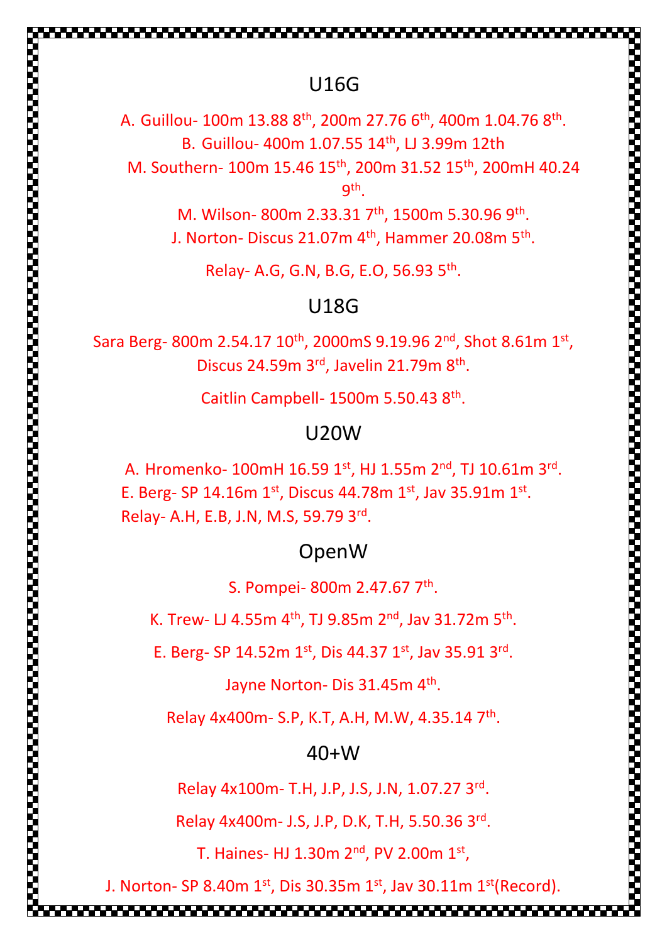### U16G

A. Guillou- 100m 13.88  $8^{\text{th}}$ , 200m 27.76  $6^{\text{th}}$ , 400m 1.04.76  $8^{\text{th}}$ . B. Guillou- 400m 1.07.55 14<sup>th</sup>, LJ 3.99m 12th M. Southern- 100m 15.46 15th, 200m 31.52 15th, 200mH 40.24 9 th .

> M. Wilson- 800m 2.33.31 7<sup>th</sup>, 1500m 5.30.96 9<sup>th</sup>. J. Norton- Discus 21.07m  $4^{\text{th}}$ , Hammer 20.08m  $5^{\text{th}}$ .

Relay- A.G, G.N, B.G, E.O, 56.93 5th .

#### U18G

Sara Berg- 800m 2.54.17  $10^{th}$ , 2000mS 9.19.96  $2^{nd}$ , Shot 8.61m  $1^{st}$ , Discus 24.59m 3rd, Javelin 21.79m 8<sup>th</sup>.

Caitlin Campbell- 1500m 5.50.43 8<sup>th</sup>.

#### U20W

A. Hromenko-  $100$ mH  $16.59$   $1^\mathrm{st}$ , HJ  $1.55$ m  $2^\mathrm{nd}$ , TJ  $10.61$ m  $3^\mathrm{rd}.$ E. Berg- SP 14.16m  $1^{st}$ , Discus 44.78m  $1^{st}$ , Jav 35.91m  $1^{st}$ . Relay- A.H, E.B, J.N, M.S, 59.79 3rd .

#### OpenW

S. Pompei- 800m 2.47.67 7<sup>th</sup>.

K. Trew- LJ 4.55m  $4^{\text{th}}$ , TJ 9.85m  $2^{\text{nd}}$ , Jav 31.72m 5<sup>th</sup>.

E. Berg- SP 14.52m  $1^{st}$ , Dis 44.37  $1^{st}$ , Jav 35.91 3<sup>rd</sup>.

Jayne Norton- Dis 31.45m 4<sup>th</sup>.

Relay 4x400m- S.P, K.T, A.H, M.W, 4.35.14 7<sup>th</sup>.

#### $40+W$

Relay 4x100m- T.H, J.P, J.S, J.N, 1.07.27 3rd.

Relay 4x400m- J.S, J.P, D.K, T.H, 5.50.36 3rd .

T. Haines- HJ 1.30m  $2<sup>nd</sup>$ , PV 2.00m  $1<sup>st</sup>$ ,

J. Norton- SP 8.40m  $1<sup>st</sup>$ , Dis 30.35m  $1<sup>st</sup>$ , Jav 30.11m  $1<sup>st</sup>$ (Record).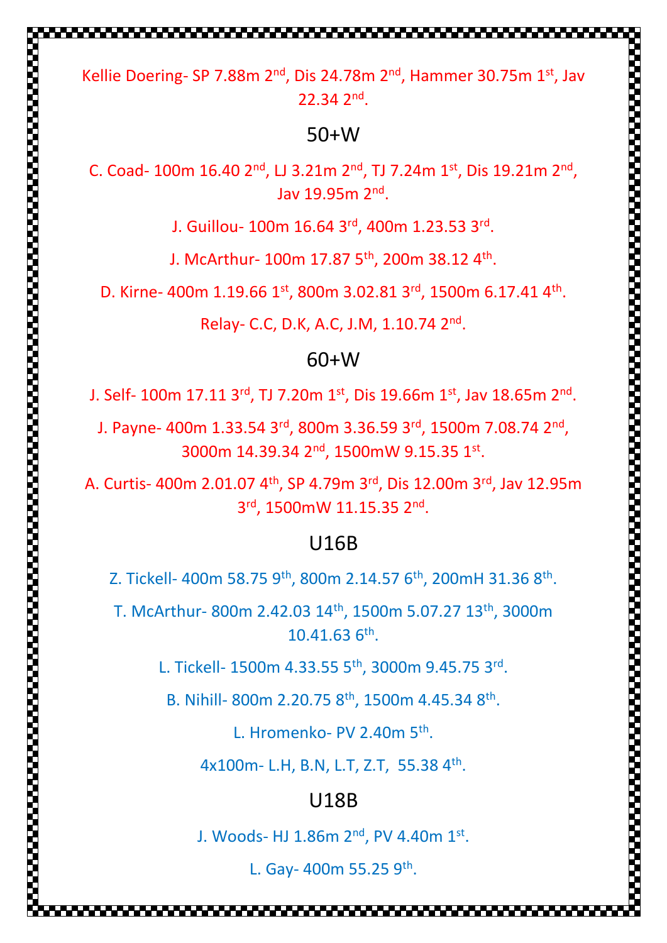Kellie Doering- SP 7.88m 2<sup>nd</sup>, Dis 24.78m 2<sup>nd</sup>, Hammer 30.75m 1st, Jav 22.34 2nd .

#### 50+W

C. Coad- 100m 16.40  $2^{nd}$ , LJ 3.21m  $2^{nd}$ , TJ 7.24m 1st, Dis 19.21m  $2^{nd}$ , Jav 19.95m 2nd .

J. Guillou- 100m 16.64 3rd, 400m 1.23.53 3rd .

J. McArthur- 100m 17.87  $5^{\text{th}}$ , 200m 38.12  $4^{\text{th}}$ .

D. Kirne- 400m  $1.19.661^{st}$ , 800m  $3.02.813^{rd}$ , 1500m  $6.17.414^{th}$ .

Relay- C.C, D.K, A.C, J.M, 1.10.74 2nd .

### 60+W

J. Self- 100m 17.11 3<sup>rd</sup>, TJ 7.20m 1<sup>st</sup>, Dis 19.66m 1<sup>st</sup>, Jav 18.65m 2<sup>nd</sup>.

J. Payne- 400m 1.33.54 3<sup>rd</sup>, 800m 3.36.59 3<sup>rd</sup>, 1500m 7.08.74 2<sup>nd</sup>, 3000m 14.39.34 2<sup>nd</sup>, 1500mW 9.15.35 1st.

A. Curtis- 400m 2.01.07 4th, SP 4.79m 3rd, Dis 12.00m 3rd, Jav 12.95m 3rd, 1500mW 11.15.35 2nd.

### U16B

Z. Tickell- 400m 58.75 9<sup>th</sup>, 800m 2.14.57 6<sup>th</sup>, 200mH 31.36 8<sup>th</sup>.

T. McArthur- 800m 2.42.03 14th, 1500m 5.07.27 13th, 3000m 10.41.63 6<sup>th</sup>.

L. Tickell- 1500m 4.33.55 5<sup>th</sup>, 3000m 9.45.75 3rd.

B. Nihill- 800m 2.20.75 8<sup>th</sup>, 1500m 4.45.34 8<sup>th</sup>.

L. Hromenko- PV 2.40m 5<sup>th</sup>.

4x100m- L.H, B.N, L.T, Z.T, 55.38 4<sup>th</sup>.

### U18B

J. Woods- HJ  $1.86$ m  $2<sup>nd</sup>$ , PV  $4.40$ m  $1<sup>st</sup>$ .

L. Gay- 400m 55.25 9th.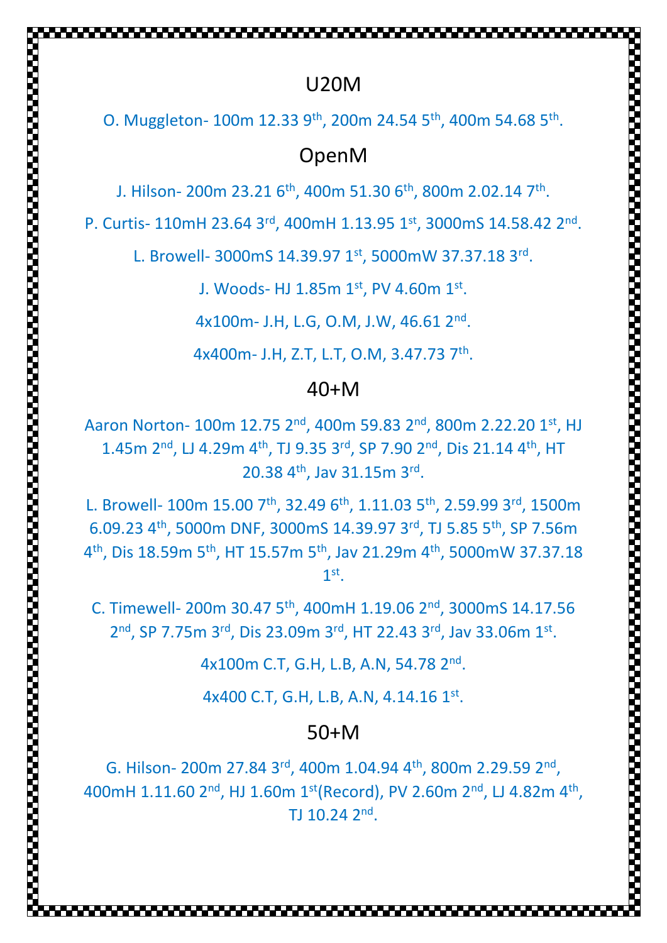### U20M

,,,,,,,,,,,,,,,,,,,,,,,,,,,

O. Muggleton- 100m 12.33 9<sup>th</sup>, 200m 24.54 5<sup>th</sup>, 400m 54.68 5<sup>th</sup>.

### OpenM

J. Hilson- 200m 23.21  $6^{\text{th}}$ , 400m 51.30  $6^{\text{th}}$ , 800m 2.02.14  $7^{\text{th}}$ .

P. Curtis- 110mH 23.64 3rd, 400mH 1.13.95 1st, 3000mS 14.58.42 2nd.

L. Browell- 3000mS 14.39.97 1st, 5000mW 37.37.18 3rd.

J. Woods- HJ  $1.85$ m  $1^{st}$ , PV  $4.60$ m  $1^{st}$ .

4x100m- J.H, L.G, O.M, J.W, 46.61 2<sup>nd</sup>.

4x400m- J.H, Z.T, L.T, O.M, 3.47.73 7<sup>th</sup>.

#### 40+M

Aaron Norton- 100m 12.75 2<sup>nd</sup>, 400m 59.83 2<sup>nd</sup>, 800m 2.22.20 1st, HJ 1.45m 2<sup>nd</sup>, LJ 4.29m 4<sup>th</sup>, TJ 9.35 3<sup>rd</sup>, SP 7.90 2<sup>nd</sup>, Dis 21.14 4<sup>th</sup>, HT  $20.38$  4<sup>th</sup>, Jav 31.15m 3<sup>rd</sup>.

L. Browell- 100m 15.00 7th, 32.49 6th, 1.11.03 5th, 2.59.99 3rd, 1500m 6.09.23 4th, 5000m DNF, 3000mS 14.39.97 3rd , TJ 5.85 5th, SP 7.56m 4 th, Dis 18.59m 5th, HT 15.57m 5th, Jav 21.29m 4th, 5000mW 37.37.18 1 st .

C. Timewell- 200m 30.47 5th, 400mH 1.19.06 2nd, 3000mS 14.17.56 2<sup>nd</sup>, SP 7.75m 3<sup>rd</sup>, Dis 23.09m 3<sup>rd</sup>, HT 22.43 3<sup>rd</sup>, Jav 33.06m 1st.

4x100m C.T, G.H, L.B, A.N, 54.78 2<sup>nd</sup>.

4x400 C.T, G.H, L.B, A.N, 4.14.16 1st.

#### 50+M

G. Hilson- 200m 27.84 3<sup>rd</sup>, 400m 1.04.94 4<sup>th</sup>, 800m 2.29.59 2<sup>nd</sup>, 400mH 1.11.60 2<sup>nd</sup>, HJ 1.60m 1<sup>st</sup>(Record), PV 2.60m 2<sup>nd</sup>, LJ 4.82m 4<sup>th</sup>, TJ  $10.24$   $2<sup>nd</sup>$ .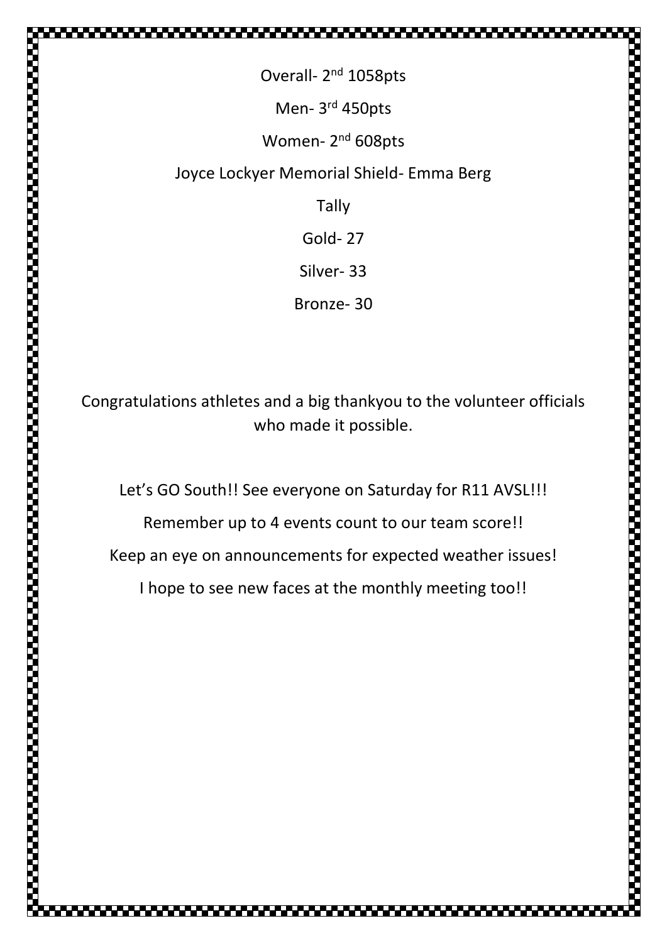Overall- 2<sup>nd</sup> 1058pts Men- 3<sup>rd</sup> 450pts Women- 2<sup>nd</sup> 608pts Joyce Lockyer Memorial Shield- Emma Berg Tally Gold- 27 Silver- 33 Bronze- 30

Congratulations athletes and a big thankyou to the volunteer officials who made it possible.

Let's GO South!! See everyone on Saturday for R11 AVSL!!!

Remember up to 4 events count to our team score!!

Keep an eye on announcements for expected weather issues!

I hope to see new faces at the monthly meeting too!!